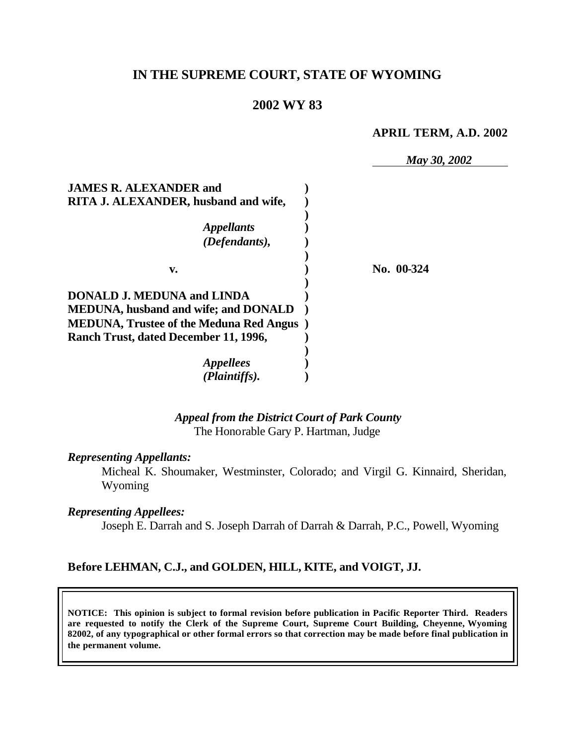### **IN THE SUPREME COURT, STATE OF WYOMING**

#### **2002 WY 83**

#### **APRIL TERM, A.D. 2002**

*May 30, 2002*

| <b>JAMES R. ALEXANDER and</b><br>RITA J. ALEXANDER, husband and wife,            |            |
|----------------------------------------------------------------------------------|------------|
| <i><b>Appellants</b></i>                                                         |            |
| (Defendants),                                                                    |            |
| v.                                                                               | No. 00-324 |
| <b>DONALD J. MEDUNA and LINDA</b><br><b>MEDUNA, husband and wife; and DONALD</b> |            |
| <b>MEDUNA, Trustee of the Meduna Red Angus</b> )                                 |            |
| Ranch Trust, dated December 11, 1996,                                            |            |
| <i>Appellees</i>                                                                 |            |
| (Plaintiffs).                                                                    |            |

#### *Appeal from the District Court of Park County* The Honorable Gary P. Hartman, Judge

#### *Representing Appellants:*

Micheal K. Shoumaker, Westminster, Colorado; and Virgil G. Kinnaird, Sheridan, Wyoming

#### *Representing Appellees:*

Joseph E. Darrah and S. Joseph Darrah of Darrah & Darrah, P.C., Powell, Wyoming

#### **Before LEHMAN, C.J., and GOLDEN, HILL, KITE, and VOIGT, JJ.**

**NOTICE: This opinion is subject to formal revision before publication in Pacific Reporter Third. Readers are requested to notify the Clerk of the Supreme Court, Supreme Court Building, Cheyenne, Wyoming 82002, of any typographical or other formal errors so that correction may be made before final publication in the permanent volume.**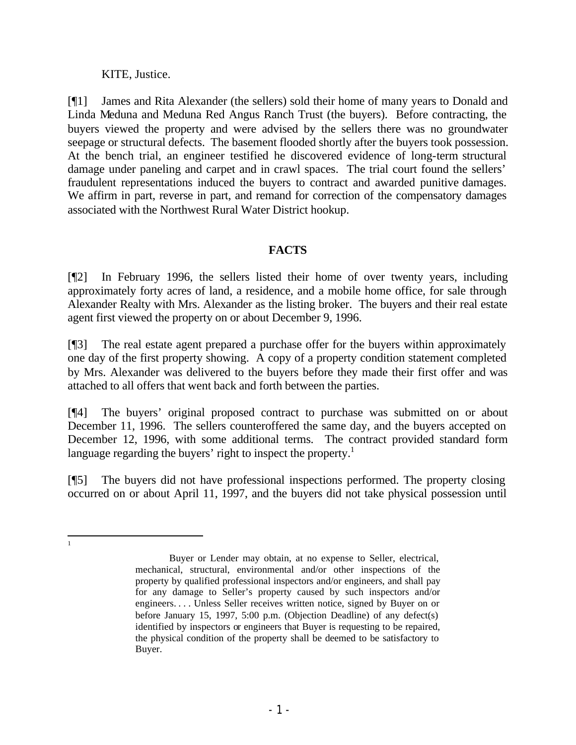KITE, Justice.

 1

[¶1] James and Rita Alexander (the sellers) sold their home of many years to Donald and Linda Meduna and Meduna Red Angus Ranch Trust (the buyers). Before contracting, the buyers viewed the property and were advised by the sellers there was no groundwater seepage or structural defects. The basement flooded shortly after the buyers took possession. At the bench trial, an engineer testified he discovered evidence of long-term structural damage under paneling and carpet and in crawl spaces. The trial court found the sellers' fraudulent representations induced the buyers to contract and awarded punitive damages. We affirm in part, reverse in part, and remand for correction of the compensatory damages associated with the Northwest Rural Water District hookup.

### **FACTS**

[¶2] In February 1996, the sellers listed their home of over twenty years, including approximately forty acres of land, a residence, and a mobile home office, for sale through Alexander Realty with Mrs. Alexander as the listing broker. The buyers and their real estate agent first viewed the property on or about December 9, 1996.

[¶3] The real estate agent prepared a purchase offer for the buyers within approximately one day of the first property showing. A copy of a property condition statement completed by Mrs. Alexander was delivered to the buyers before they made their first offer and was attached to all offers that went back and forth between the parties.

[¶4] The buyers' original proposed contract to purchase was submitted on or about December 11, 1996. The sellers counteroffered the same day, and the buyers accepted on December 12, 1996, with some additional terms. The contract provided standard form language regarding the buyers' right to inspect the property.<sup>1</sup>

[¶5] The buyers did not have professional inspections performed. The property closing occurred on or about April 11, 1997, and the buyers did not take physical possession until

Buyer or Lender may obtain, at no expense to Seller, electrical, mechanical, structural, environmental and/or other inspections of the property by qualified professional inspectors and/or engineers, and shall pay for any damage to Seller's property caused by such inspectors and/or engineers. . . . Unless Seller receives written notice, signed by Buyer on or before January 15, 1997, 5:00 p.m. (Objection Deadline) of any defect(s) identified by inspectors or engineers that Buyer is requesting to be repaired, the physical condition of the property shall be deemed to be satisfactory to Buyer.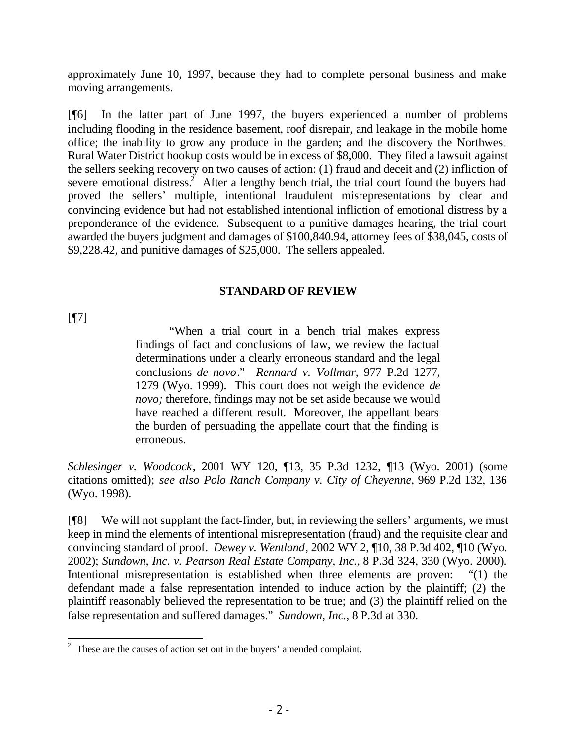approximately June 10, 1997, because they had to complete personal business and make moving arrangements.

[¶6] In the latter part of June 1997, the buyers experienced a number of problems including flooding in the residence basement, roof disrepair, and leakage in the mobile home office; the inability to grow any produce in the garden; and the discovery the Northwest Rural Water District hookup costs would be in excess of \$8,000. They filed a lawsuit against the sellers seeking recovery on two causes of action: (1) fraud and deceit and (2) infliction of severe emotional distress.<sup>2</sup> After a lengthy bench trial, the trial court found the buyers had proved the sellers' multiple, intentional fraudulent misrepresentations by clear and convincing evidence but had not established intentional infliction of emotional distress by a preponderance of the evidence. Subsequent to a punitive damages hearing, the trial court awarded the buyers judgment and damages of \$100,840.94, attorney fees of \$38,045, costs of \$9,228.42, and punitive damages of \$25,000. The sellers appealed.

#### **STANDARD OF REVIEW**

[¶7]

"When a trial court in a bench trial makes express findings of fact and conclusions of law, we review the factual determinations under a clearly erroneous standard and the legal conclusions *de novo*." *Rennard v. Vollmar*, 977 P.2d 1277, 1279 (Wyo. 1999). This court does not weigh the evidence *de novo;* therefore, findings may not be set aside because we would have reached a different result. Moreover, the appellant bears the burden of persuading the appellate court that the finding is erroneous.

*Schlesinger v. Woodcock*, 2001 WY 120, ¶13, 35 P.3d 1232, ¶13 (Wyo. 2001) (some citations omitted); *see also Polo Ranch Company v. City of Cheyenne*, 969 P.2d 132, 136 (Wyo. 1998).

[¶8] We will not supplant the fact-finder, but, in reviewing the sellers' arguments, we must keep in mind the elements of intentional misrepresentation (fraud) and the requisite clear and convincing standard of proof. *Dewey v. Wentland*, 2002 WY 2, ¶10, 38 P.3d 402, ¶10 (Wyo. 2002); *Sundown, Inc. v. Pearson Real Estate Company, Inc.*, 8 P.3d 324, 330 (Wyo. 2000). Intentional misrepresentation is established when three elements are proven: "(1) the defendant made a false representation intended to induce action by the plaintiff; (2) the plaintiff reasonably believed the representation to be true; and (3) the plaintiff relied on the false representation and suffered damages." *Sundown, Inc.*, 8 P.3d at 330.

 $2<sup>2</sup>$  These are the causes of action set out in the buyers' amended complaint.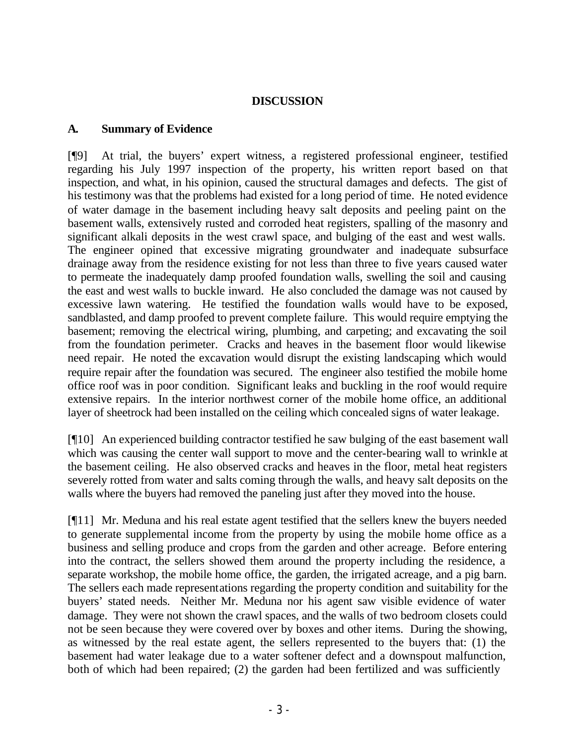#### **DISCUSSION**

#### **A. Summary of Evidence**

[¶9] At trial, the buyers' expert witness, a registered professional engineer, testified regarding his July 1997 inspection of the property, his written report based on that inspection, and what, in his opinion, caused the structural damages and defects. The gist of his testimony was that the problems had existed for a long period of time. He noted evidence of water damage in the basement including heavy salt deposits and peeling paint on the basement walls, extensively rusted and corroded heat registers, spalling of the masonry and significant alkali deposits in the west crawl space, and bulging of the east and west walls. The engineer opined that excessive migrating groundwater and inadequate subsurface drainage away from the residence existing for not less than three to five years caused water to permeate the inadequately damp proofed foundation walls, swelling the soil and causing the east and west walls to buckle inward. He also concluded the damage was not caused by excessive lawn watering. He testified the foundation walls would have to be exposed, sandblasted, and damp proofed to prevent complete failure. This would require emptying the basement; removing the electrical wiring, plumbing, and carpeting; and excavating the soil from the foundation perimeter. Cracks and heaves in the basement floor would likewise need repair. He noted the excavation would disrupt the existing landscaping which would require repair after the foundation was secured. The engineer also testified the mobile home office roof was in poor condition. Significant leaks and buckling in the roof would require extensive repairs. In the interior northwest corner of the mobile home office, an additional layer of sheetrock had been installed on the ceiling which concealed signs of water leakage.

[¶10] An experienced building contractor testified he saw bulging of the east basement wall which was causing the center wall support to move and the center-bearing wall to wrinkle at the basement ceiling. He also observed cracks and heaves in the floor, metal heat registers severely rotted from water and salts coming through the walls, and heavy salt deposits on the walls where the buyers had removed the paneling just after they moved into the house.

[¶11] Mr. Meduna and his real estate agent testified that the sellers knew the buyers needed to generate supplemental income from the property by using the mobile home office as a business and selling produce and crops from the garden and other acreage. Before entering into the contract, the sellers showed them around the property including the residence, a separate workshop, the mobile home office, the garden, the irrigated acreage, and a pig barn. The sellers each made representations regarding the property condition and suitability for the buyers' stated needs. Neither Mr. Meduna nor his agent saw visible evidence of water damage. They were not shown the crawl spaces, and the walls of two bedroom closets could not be seen because they were covered over by boxes and other items. During the showing, as witnessed by the real estate agent, the sellers represented to the buyers that: (1) the basement had water leakage due to a water softener defect and a downspout malfunction, both of which had been repaired; (2) the garden had been fertilized and was sufficiently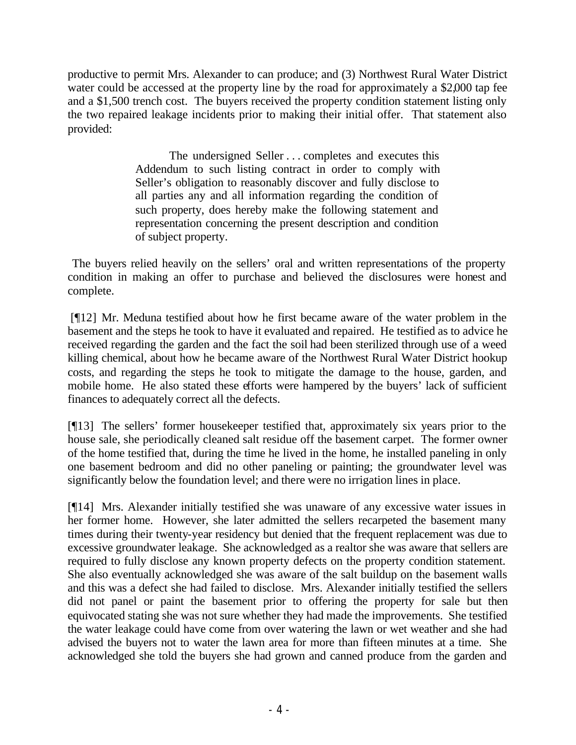productive to permit Mrs. Alexander to can produce; and (3) Northwest Rural Water District water could be accessed at the property line by the road for approximately a \$2,000 tap fee and a \$1,500 trench cost. The buyers received the property condition statement listing only the two repaired leakage incidents prior to making their initial offer. That statement also provided:

> The undersigned Seller . . . completes and executes this Addendum to such listing contract in order to comply with Seller's obligation to reasonably discover and fully disclose to all parties any and all information regarding the condition of such property, does hereby make the following statement and representation concerning the present description and condition of subject property.

 The buyers relied heavily on the sellers' oral and written representations of the property condition in making an offer to purchase and believed the disclosures were honest and complete.

 [¶12] Mr. Meduna testified about how he first became aware of the water problem in the basement and the steps he took to have it evaluated and repaired. He testified as to advice he received regarding the garden and the fact the soil had been sterilized through use of a weed killing chemical, about how he became aware of the Northwest Rural Water District hookup costs, and regarding the steps he took to mitigate the damage to the house, garden, and mobile home. He also stated these efforts were hampered by the buyers' lack of sufficient finances to adequately correct all the defects.

[¶13] The sellers' former housekeeper testified that, approximately six years prior to the house sale, she periodically cleaned salt residue off the basement carpet. The former owner of the home testified that, during the time he lived in the home, he installed paneling in only one basement bedroom and did no other paneling or painting; the groundwater level was significantly below the foundation level; and there were no irrigation lines in place.

[¶14] Mrs. Alexander initially testified she was unaware of any excessive water issues in her former home. However, she later admitted the sellers recarpeted the basement many times during their twenty-year residency but denied that the frequent replacement was due to excessive groundwater leakage. She acknowledged as a realtor she was aware that sellers are required to fully disclose any known property defects on the property condition statement. She also eventually acknowledged she was aware of the salt buildup on the basement walls and this was a defect she had failed to disclose. Mrs. Alexander initially testified the sellers did not panel or paint the basement prior to offering the property for sale but then equivocated stating she was not sure whether they had made the improvements. She testified the water leakage could have come from over watering the lawn or wet weather and she had advised the buyers not to water the lawn area for more than fifteen minutes at a time. She acknowledged she told the buyers she had grown and canned produce from the garden and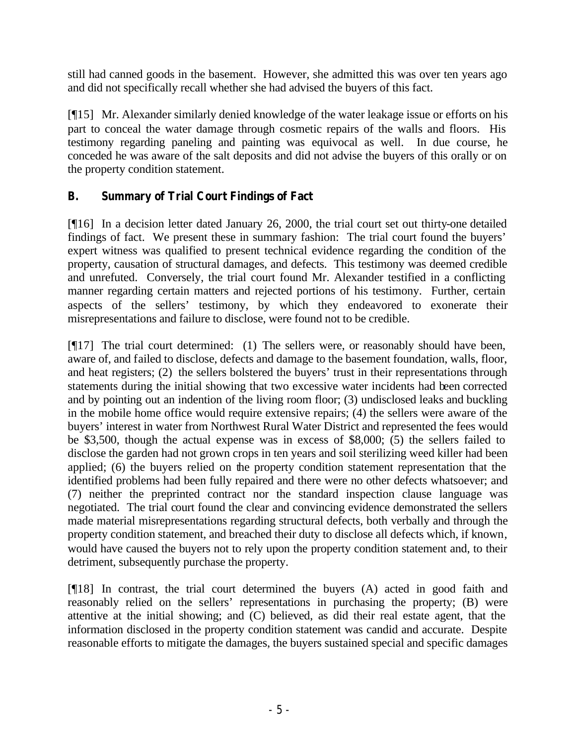still had canned goods in the basement. However, she admitted this was over ten years ago and did not specifically recall whether she had advised the buyers of this fact.

[¶15] Mr. Alexander similarly denied knowledge of the water leakage issue or efforts on his part to conceal the water damage through cosmetic repairs of the walls and floors. His testimony regarding paneling and painting was equivocal as well. In due course, he conceded he was aware of the salt deposits and did not advise the buyers of this orally or on the property condition statement.

# **B. Summary of Trial Court Findings of Fact**

[¶16] In a decision letter dated January 26, 2000, the trial court set out thirty-one detailed findings of fact. We present these in summary fashion: The trial court found the buyers' expert witness was qualified to present technical evidence regarding the condition of the property, causation of structural damages, and defects. This testimony was deemed credible and unrefuted. Conversely, the trial court found Mr. Alexander testified in a conflicting manner regarding certain matters and rejected portions of his testimony. Further, certain aspects of the sellers' testimony, by which they endeavored to exonerate their misrepresentations and failure to disclose, were found not to be credible.

[¶17] The trial court determined: (1) The sellers were, or reasonably should have been, aware of, and failed to disclose, defects and damage to the basement foundation, walls, floor, and heat registers; (2) the sellers bolstered the buyers' trust in their representations through statements during the initial showing that two excessive water incidents had been corrected and by pointing out an indention of the living room floor; (3) undisclosed leaks and buckling in the mobile home office would require extensive repairs; (4) the sellers were aware of the buyers' interest in water from Northwest Rural Water District and represented the fees would be \$3,500, though the actual expense was in excess of \$8,000; (5) the sellers failed to disclose the garden had not grown crops in ten years and soil sterilizing weed killer had been applied; (6) the buyers relied on the property condition statement representation that the identified problems had been fully repaired and there were no other defects whatsoever; and (7) neither the preprinted contract nor the standard inspection clause language was negotiated. The trial court found the clear and convincing evidence demonstrated the sellers made material misrepresentations regarding structural defects, both verbally and through the property condition statement, and breached their duty to disclose all defects which, if known, would have caused the buyers not to rely upon the property condition statement and, to their detriment, subsequently purchase the property.

[¶18] In contrast, the trial court determined the buyers (A) acted in good faith and reasonably relied on the sellers' representations in purchasing the property; (B) were attentive at the initial showing; and (C) believed, as did their real estate agent, that the information disclosed in the property condition statement was candid and accurate. Despite reasonable efforts to mitigate the damages, the buyers sustained special and specific damages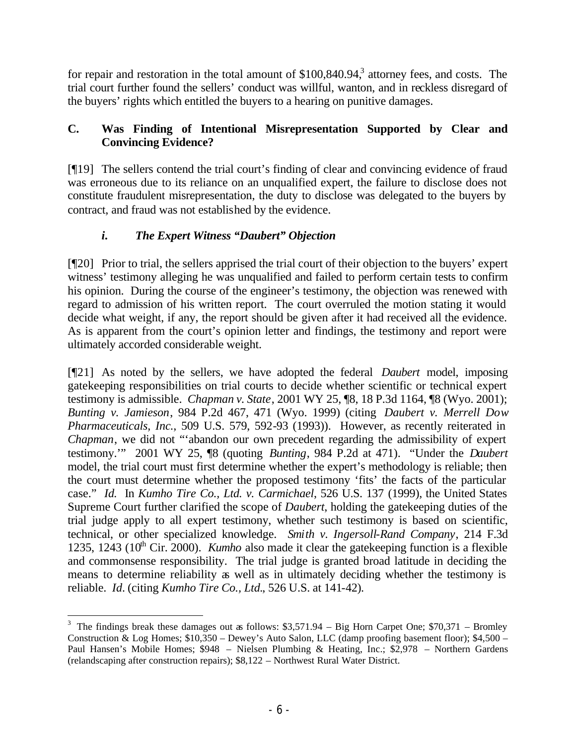for repair and restoration in the total amount of  $$100,840.94$ <sup>3</sup> attorney fees, and costs. The trial court further found the sellers' conduct was willful, wanton, and in reckless disregard of the buyers' rights which entitled the buyers to a hearing on punitive damages.

# **C. Was Finding of Intentional Misrepresentation Supported by Clear and Convincing Evidence?**

[¶19] The sellers contend the trial court's finding of clear and convincing evidence of fraud was erroneous due to its reliance on an unqualified expert, the failure to disclose does not constitute fraudulent misrepresentation, the duty to disclose was delegated to the buyers by contract, and fraud was not established by the evidence.

# *i. The Expert Witness "Daubert" Objection*

[¶20] Prior to trial, the sellers apprised the trial court of their objection to the buyers' expert witness' testimony alleging he was unqualified and failed to perform certain tests to confirm his opinion. During the course of the engineer's testimony, the objection was renewed with regard to admission of his written report. The court overruled the motion stating it would decide what weight, if any, the report should be given after it had received all the evidence. As is apparent from the court's opinion letter and findings, the testimony and report were ultimately accorded considerable weight.

[¶21] As noted by the sellers, we have adopted the federal *Daubert* model, imposing gatekeeping responsibilities on trial courts to decide whether scientific or technical expert testimony is admissible. *Chapman v. State*, 2001 WY 25, ¶8, 18 P.3d 1164, ¶8 (Wyo. 2001); *Bunting v. Jamieson*, 984 P.2d 467, 471 (Wyo. 1999) (citing *Daubert v. Merrell Dow Pharmaceuticals, Inc.*, 509 U.S. 579, 592-93 (1993)). However, as recently reiterated in *Chapman*, we did not "'abandon our own precedent regarding the admissibility of expert testimony.'" 2001 WY 25, ¶8 (quoting *Bunting*, 984 P.2d at 471). "Under the *Daubert* model, the trial court must first determine whether the expert's methodology is reliable; then the court must determine whether the proposed testimony 'fits' the facts of the particular case." *Id.* In *Kumho Tire Co., Ltd. v. Carmichael*, 526 U.S. 137 (1999), the United States Supreme Court further clarified the scope of *Daubert*, holding the gatekeeping duties of the trial judge apply to all expert testimony, whether such testimony is based on scientific, technical, or other specialized knowledge. *Smith v. Ingersoll-Rand Company*, 214 F.3d 1235, 1243 (10<sup>th</sup> Cir. 2000). *Kumho* also made it clear the gatekeeping function is a flexible and commonsense responsibility. The trial judge is granted broad latitude in deciding the means to determine reliability as well as in ultimately deciding whether the testimony is reliable. *Id.* (citing *Kumho Tire Co., Ltd.*, 526 U.S. at 141-42).

<sup>&</sup>lt;sup>3</sup> The findings break these damages out as follows:  $$3,571.94 - Big Horn Carpet One$ ;  $$70,371 - Bromley$ Construction & Log Homes; \$10,350 – Dewey's Auto Salon, LLC (damp proofing basement floor); \$4,500 – Paul Hansen's Mobile Homes; \$948 – Nielsen Plumbing & Heating, Inc.; \$2,978 – Northern Gardens (relandscaping after construction repairs); \$8,122 – Northwest Rural Water District.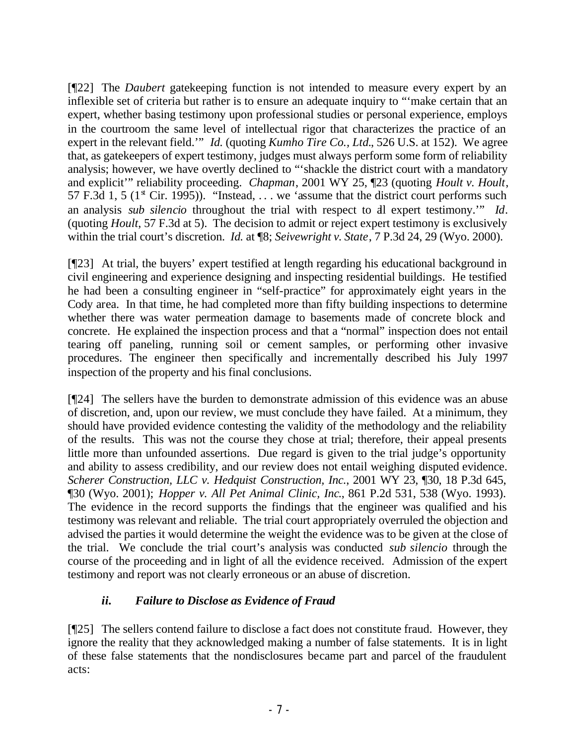[¶22] The *Daubert* gatekeeping function is not intended to measure every expert by an inflexible set of criteria but rather is to ensure an adequate inquiry to "'make certain that an expert, whether basing testimony upon professional studies or personal experience, employs in the courtroom the same level of intellectual rigor that characterizes the practice of an expert in the relevant field.'" *Id.* (quoting *Kumho Tire Co., Ltd.*, 526 U.S. at 152). We agree that, as gatekeepers of expert testimony, judges must always perform some form of reliability analysis; however, we have overtly declined to "'shackle the district court with a mandatory and explicit'" reliability proceeding. *Chapman*, 2001 WY 25, ¶23 (quoting *Hoult v. Hoult*, 57 F.3d 1, 5 ( $1^{\text{st}}$  Cir. 1995)). "Instead, ... we 'assume that the district court performs such an analysis *sub silencio* throughout the trial with respect to all expert testimony.'" *Id*. (quoting *Hoult*, 57 F.3d at 5). The decision to admit or reject expert testimony is exclusively within the trial court's discretion. *Id.* at ¶8; *Seivewright v. State*, 7 P.3d 24, 29 (Wyo. 2000).

[¶23] At trial, the buyers' expert testified at length regarding his educational background in civil engineering and experience designing and inspecting residential buildings. He testified he had been a consulting engineer in "self-practice" for approximately eight years in the Cody area. In that time, he had completed more than fifty building inspections to determine whether there was water permeation damage to basements made of concrete block and concrete. He explained the inspection process and that a "normal" inspection does not entail tearing off paneling, running soil or cement samples, or performing other invasive procedures. The engineer then specifically and incrementally described his July 1997 inspection of the property and his final conclusions.

[¶24] The sellers have the burden to demonstrate admission of this evidence was an abuse of discretion, and, upon our review, we must conclude they have failed. At a minimum, they should have provided evidence contesting the validity of the methodology and the reliability of the results. This was not the course they chose at trial; therefore, their appeal presents little more than unfounded assertions. Due regard is given to the trial judge's opportunity and ability to assess credibility, and our review does not entail weighing disputed evidence. *Scherer Construction, LLC v. Hedquist Construction, Inc.*, 2001 WY 23, ¶30, 18 P.3d 645, ¶30 (Wyo. 2001); *Hopper v. All Pet Animal Clinic, Inc*., 861 P.2d 531, 538 (Wyo. 1993). The evidence in the record supports the findings that the engineer was qualified and his testimony was relevant and reliable. The trial court appropriately overruled the objection and advised the parties it would determine the weight the evidence was to be given at the close of the trial. We conclude the trial court's analysis was conducted *sub silencio* through the course of the proceeding and in light of all the evidence received.Admission of the expert testimony and report was not clearly erroneous or an abuse of discretion.

# *ii. Failure to Disclose as Evidence of Fraud*

[¶25] The sellers contend failure to disclose a fact does not constitute fraud. However, they ignore the reality that they acknowledged making a number of false statements. It is in light of these false statements that the nondisclosures became part and parcel of the fraudulent acts: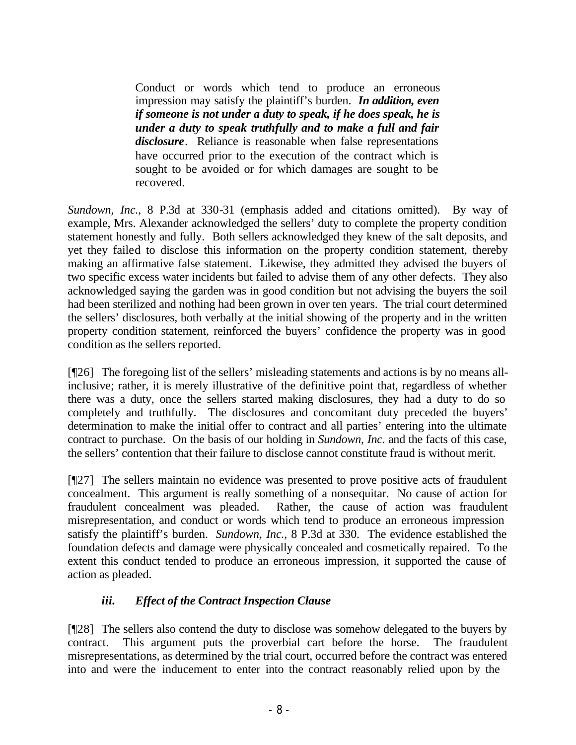Conduct or words which tend to produce an erroneous impression may satisfy the plaintiff's burden. *In addition, even if someone is not under a duty to speak, if he does speak, he is under a duty to speak truthfully and to make a full and fair disclosure*. Reliance is reasonable when false representations have occurred prior to the execution of the contract which is sought to be avoided or for which damages are sought to be recovered.

*Sundown, Inc.*, 8 P.3d at 330-31 (emphasis added and citations omitted). By way of example, Mrs. Alexander acknowledged the sellers' duty to complete the property condition statement honestly and fully. Both sellers acknowledged they knew of the salt deposits, and yet they failed to disclose this information on the property condition statement, thereby making an affirmative false statement. Likewise, they admitted they advised the buyers of two specific excess water incidents but failed to advise them of any other defects. They also acknowledged saying the garden was in good condition but not advising the buyers the soil had been sterilized and nothing had been grown in over ten years. The trial court determined the sellers' disclosures, both verbally at the initial showing of the property and in the written property condition statement, reinforced the buyers' confidence the property was in good condition as the sellers reported.

[¶26] The foregoing list of the sellers' misleading statements and actions is by no means allinclusive; rather, it is merely illustrative of the definitive point that, regardless of whether there was a duty, once the sellers started making disclosures, they had a duty to do so completely and truthfully. The disclosures and concomitant duty preceded the buyers' determination to make the initial offer to contract and all parties' entering into the ultimate contract to purchase. On the basis of our holding in *Sundown, Inc.* and the facts of this case, the sellers' contention that their failure to disclose cannot constitute fraud is without merit.

[¶27] The sellers maintain no evidence was presented to prove positive acts of fraudulent concealment. This argument is really something of a nonsequitar. No cause of action for fraudulent concealment was pleaded. Rather, the cause of action was fraudulent misrepresentation, and conduct or words which tend to produce an erroneous impression satisfy the plaintiff's burden. *Sundown, Inc.*, 8 P.3d at 330. The evidence established the foundation defects and damage were physically concealed and cosmetically repaired. To the extent this conduct tended to produce an erroneous impression, it supported the cause of action as pleaded.

### *iii. Effect of the Contract Inspection Clause*

[¶28] The sellers also contend the duty to disclose was somehow delegated to the buyers by contract. This argument puts the proverbial cart before the horse. The fraudulent misrepresentations, as determined by the trial court, occurred before the contract was entered into and were the inducement to enter into the contract reasonably relied upon by the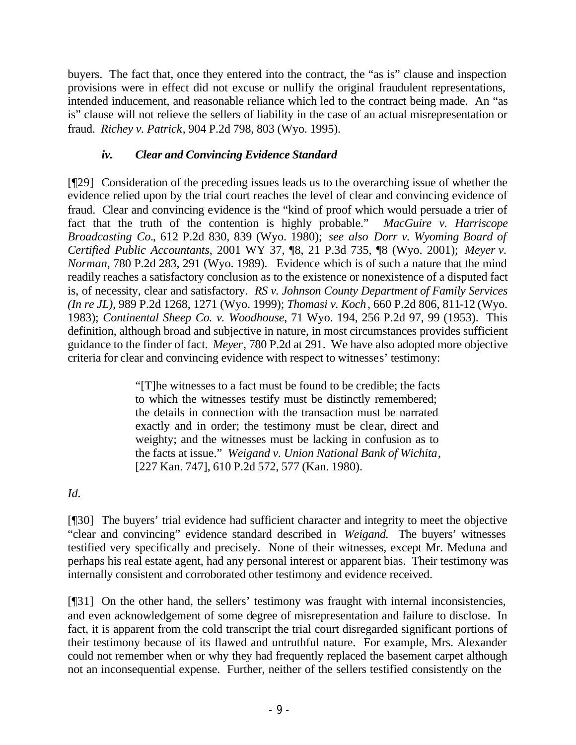buyers. The fact that, once they entered into the contract, the "as is" clause and inspection provisions were in effect did not excuse or nullify the original fraudulent representations, intended inducement, and reasonable reliance which led to the contract being made. An "as is" clause will not relieve the sellers of liability in the case of an actual misrepresentation or fraud. *Richey v. Patrick*, 904 P.2d 798, 803 (Wyo. 1995).

## *iv. Clear and Convincing Evidence Standard*

[¶29] Consideration of the preceding issues leads us to the overarching issue of whether the evidence relied upon by the trial court reaches the level of clear and convincing evidence of fraud. Clear and convincing evidence is the "kind of proof which would persuade a trier of fact that the truth of the contention is highly probable." *MacGuire v. Harriscope Broadcasting Co.*, 612 P.2d 830, 839 (Wyo. 1980); *see also Dorr v. Wyoming Board of Certified Public Accountants*, 2001 WY 37, ¶8, 21 P.3d 735, ¶8 (Wyo. 2001); *Meyer v. Norman*, 780 P.2d 283, 291 (Wyo. 1989). Evidence which is of such a nature that the mind readily reaches a satisfactory conclusion as to the existence or nonexistence of a disputed fact is, of necessity, clear and satisfactory. *RS v. Johnson County Department of Family Services (In re JL)*, 989 P.2d 1268, 1271 (Wyo. 1999); *Thomasi v. Koch*, 660 P.2d 806, 811-12 (Wyo. 1983); *Continental Sheep Co. v. Woodhouse*, 71 Wyo. 194, 256 P.2d 97, 99 (1953). This definition, although broad and subjective in nature, in most circumstances provides sufficient guidance to the finder of fact. *Meyer*, 780 P.2d at 291. We have also adopted more objective criteria for clear and convincing evidence with respect to witnesses' testimony:

> "[T]he witnesses to a fact must be found to be credible; the facts to which the witnesses testify must be distinctly remembered; the details in connection with the transaction must be narrated exactly and in order; the testimony must be clear, direct and weighty; and the witnesses must be lacking in confusion as to the facts at issue." *Weigand v. Union National Bank of Wichita*, [227 Kan. 747], 610 P.2d 572, 577 (Kan. 1980).

# *Id.*

[¶30] The buyers' trial evidence had sufficient character and integrity to meet the objective "clear and convincing" evidence standard described in *Weigand.* The buyers' witnesses testified very specifically and precisely. None of their witnesses, except Mr. Meduna and perhaps his real estate agent, had any personal interest or apparent bias. Their testimony was internally consistent and corroborated other testimony and evidence received.

[¶31] On the other hand, the sellers' testimony was fraught with internal inconsistencies, and even acknowledgement of some degree of misrepresentation and failure to disclose. In fact, it is apparent from the cold transcript the trial court disregarded significant portions of their testimony because of its flawed and untruthful nature. For example, Mrs. Alexander could not remember when or why they had frequently replaced the basement carpet although not an inconsequential expense. Further, neither of the sellers testified consistently on the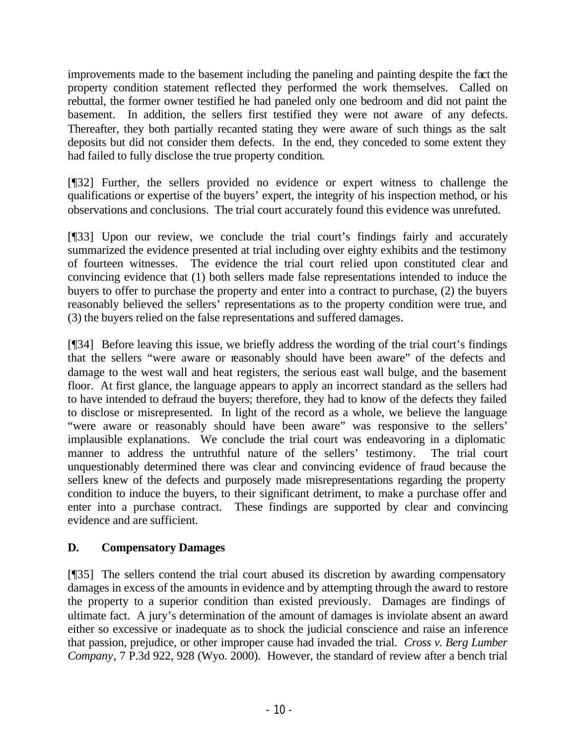improvements made to the basement including the paneling and painting despite the fact the property condition statement reflected they performed the work themselves. Called on rebuttal, the former owner testified he had paneled only one bedroom and did not paint the basement. In addition, the sellers first testified they were not aware of any defects. Thereafter, they both partially recanted stating they were aware of such things as the salt deposits but did not consider them defects. In the end, they conceded to some extent they had failed to fully disclose the true property condition.

[¶32] Further, the sellers provided no evidence or expert witness to challenge the qualifications or expertise of the buyers' expert, the integrity of his inspection method, or his observations and conclusions. The trial court accurately found this evidence was unrefuted.

[¶33] Upon our review, we conclude the trial court's findings fairly and accurately summarized the evidence presented at trial including over eighty exhibits and the testimony of fourteen witnesses. The evidence the trial court relied upon constituted clear and convincing evidence that (1) both sellers made false representations intended to induce the buyers to offer to purchase the property and enter into a contract to purchase, (2) the buyers reasonably believed the sellers' representations as to the property condition were true, and (3) the buyers relied on the false representations and suffered damages.

[¶34] Before leaving this issue, we briefly address the wording of the trial court's findings that the sellers "were aware or reasonably should have been aware" of the defects and damage to the west wall and heat registers, the serious east wall bulge, and the basement floor. At first glance, the language appears to apply an incorrect standard as the sellers had to have intended to defraud the buyers; therefore, they had to know of the defects they failed to disclose or misrepresented. In light of the record as a whole, we believe the language "were aware or reasonably should have been aware" was responsive to the sellers' implausible explanations. We conclude the trial court was endeavoring in a diplomatic manner to address the untruthful nature of the sellers' testimony. The trial court unquestionably determined there was clear and convincing evidence of fraud because the sellers knew of the defects and purposely made misrepresentations regarding the property condition to induce the buyers, to their significant detriment, to make a purchase offer and enter into a purchase contract. These findings are supported by clear and convincing evidence and are sufficient.

# **D. Compensatory Damages**

[¶35] The sellers contend the trial court abused its discretion by awarding compensatory damages in excess of the amounts in evidence and by attempting through the award to restore the property to a superior condition than existed previously. Damages are findings of ultimate fact. A jury's determination of the amount of damages is inviolate absent an award either so excessive or inadequate as to shock the judicial conscience and raise an inference that passion, prejudice, or other improper cause had invaded the trial. *Cross v. Berg Lumber Company*, 7 P.3d 922, 928 (Wyo. 2000). However, the standard of review after a bench trial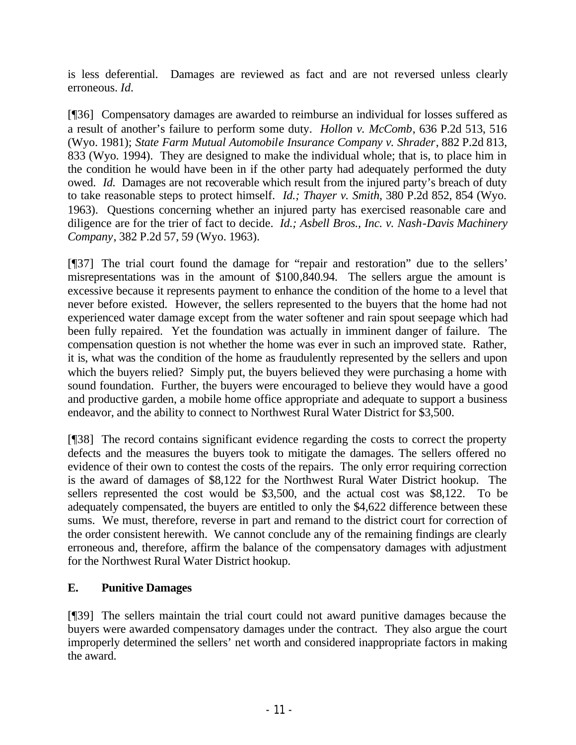is less deferential. Damages are reviewed as fact and are not reversed unless clearly erroneous. *Id.*

[¶36] Compensatory damages are awarded to reimburse an individual for losses suffered as a result of another's failure to perform some duty. *Hollon v. McComb*, 636 P.2d 513, 516 (Wyo. 1981); *State Farm Mutual Automobile Insurance Company v. Shrader*, 882 P.2d 813, 833 (Wyo. 1994). They are designed to make the individual whole; that is, to place him in the condition he would have been in if the other party had adequately performed the duty owed. *Id.* Damages are not recoverable which result from the injured party's breach of duty to take reasonable steps to protect himself. *Id.; Thayer v. Smith*, 380 P.2d 852, 854 (Wyo. 1963). Questions concerning whether an injured party has exercised reasonable care and diligence are for the trier of fact to decide. *Id.; Asbell Bros., Inc. v. Nash-Davis Machinery Company*, 382 P.2d 57, 59 (Wyo. 1963).

[¶37] The trial court found the damage for "repair and restoration" due to the sellers' misrepresentations was in the amount of \$100,840.94. The sellers argue the amount is excessive because it represents payment to enhance the condition of the home to a level that never before existed. However, the sellers represented to the buyers that the home had not experienced water damage except from the water softener and rain spout seepage which had been fully repaired. Yet the foundation was actually in imminent danger of failure. The compensation question is not whether the home was ever in such an improved state. Rather, it is, what was the condition of the home as fraudulently represented by the sellers and upon which the buyers relied? Simply put, the buyers believed they were purchasing a home with sound foundation. Further, the buyers were encouraged to believe they would have a good and productive garden, a mobile home office appropriate and adequate to support a business endeavor, and the ability to connect to Northwest Rural Water District for \$3,500.

[¶38] The record contains significant evidence regarding the costs to correct the property defects and the measures the buyers took to mitigate the damages. The sellers offered no evidence of their own to contest the costs of the repairs. The only error requiring correction is the award of damages of \$8,122 for the Northwest Rural Water District hookup. The sellers represented the cost would be \$3,500, and the actual cost was \$8,122. To be adequately compensated, the buyers are entitled to only the \$4,622 difference between these sums. We must, therefore, reverse in part and remand to the district court for correction of the order consistent herewith. We cannot conclude any of the remaining findings are clearly erroneous and, therefore, affirm the balance of the compensatory damages with adjustment for the Northwest Rural Water District hookup.

### **E. Punitive Damages**

[¶39] The sellers maintain the trial court could not award punitive damages because the buyers were awarded compensatory damages under the contract. They also argue the court improperly determined the sellers' net worth and considered inappropriate factors in making the award.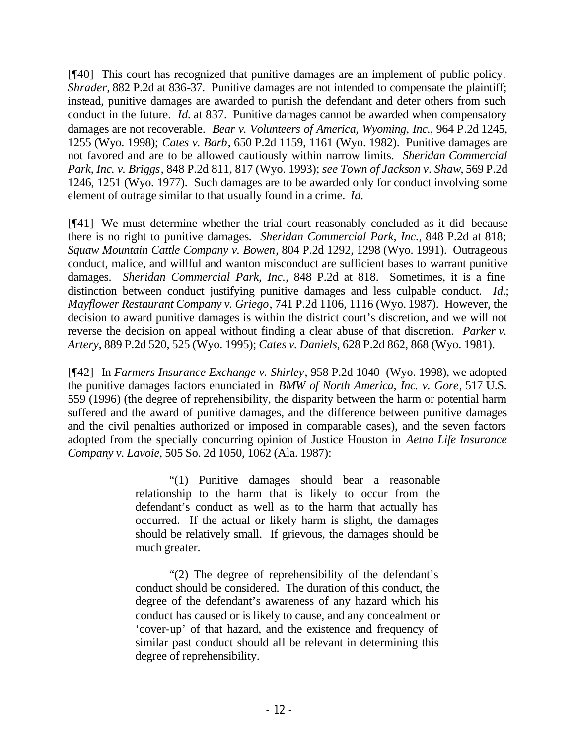[¶40] This court has recognized that punitive damages are an implement of public policy. *Shrader,* 882 P.2d at 836-37. Punitive damages are not intended to compensate the plaintiff; instead, punitive damages are awarded to punish the defendant and deter others from such conduct in the future. *Id.* at 837. Punitive damages cannot be awarded when compensatory damages are not recoverable. *Bear v. Volunteers of America, Wyoming, Inc.*, 964 P.2d 1245, 1255 (Wyo. 1998); *Cates v. Barb*, 650 P.2d 1159, 1161 (Wyo. 1982). Punitive damages are not favored and are to be allowed cautiously within narrow limits. *Sheridan Commercial Park, Inc. v. Briggs*, 848 P.2d 811, 817 (Wyo. 1993); *see Town of Jackson v. Shaw*, 569 P.2d 1246, 1251 (Wyo. 1977). Such damages are to be awarded only for conduct involving some element of outrage similar to that usually found in a crime. *Id.*

[¶41] We must determine whether the trial court reasonably concluded as it did because there is no right to punitive damages*. Sheridan Commercial Park, Inc.,* 848 P.2d at 818; *Squaw Mountain Cattle Company v. Bowen*, 804 P.2d 1292, 1298 (Wyo. 1991). Outrageous conduct, malice, and willful and wanton misconduct are sufficient bases to warrant punitive damages. *Sheridan Commercial Park, Inc.,* 848 P.2d at 818. Sometimes, it is a fine distinction between conduct justifying punitive damages and less culpable conduct. *Id.*; *Mayflower Restaurant Company v. Griego*, 741 P.2d 1106, 1116 (Wyo. 1987). However, the decision to award punitive damages is within the district court's discretion, and we will not reverse the decision on appeal without finding a clear abuse of that discretion. *Parker v. Artery*, 889 P.2d 520, 525 (Wyo. 1995); *Cates v. Daniels*, 628 P.2d 862, 868 (Wyo. 1981).

[¶42] In *Farmers Insurance Exchange v. Shirley*, 958 P.2d 1040 (Wyo. 1998), we adopted the punitive damages factors enunciated in *BMW of North America, Inc. v. Gore*, 517 U.S. 559 (1996) (the degree of reprehensibility, the disparity between the harm or potential harm suffered and the award of punitive damages, and the difference between punitive damages and the civil penalties authorized or imposed in comparable cases), and the seven factors adopted from the specially concurring opinion of Justice Houston in *Aetna Life Insurance Company v. Lavoie,* 505 So. 2d 1050, 1062 (Ala. 1987):

> "(1) Punitive damages should bear a reasonable relationship to the harm that is likely to occur from the defendant's conduct as well as to the harm that actually has occurred. If the actual or likely harm is slight, the damages should be relatively small. If grievous, the damages should be much greater.

> "(2) The degree of reprehensibility of the defendant's conduct should be considered. The duration of this conduct, the degree of the defendant's awareness of any hazard which his conduct has caused or is likely to cause, and any concealment or 'cover-up' of that hazard, and the existence and frequency of similar past conduct should all be relevant in determining this degree of reprehensibility.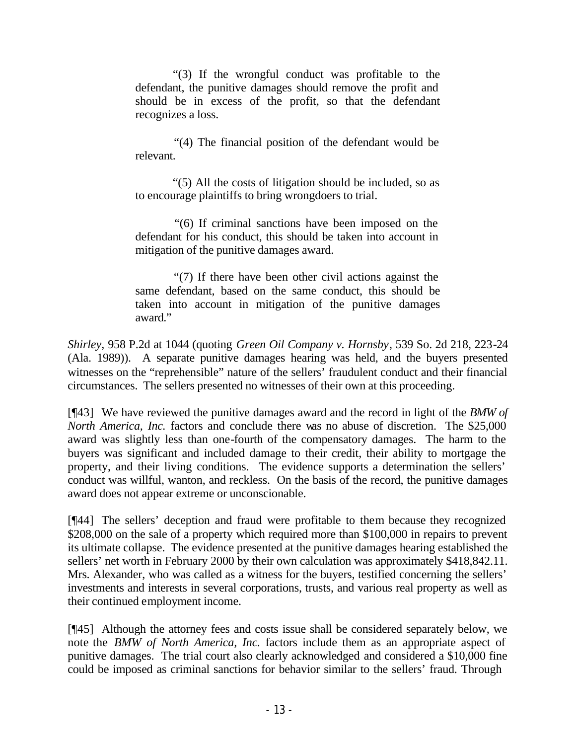"(3) If the wrongful conduct was profitable to the defendant, the punitive damages should remove the profit and should be in excess of the profit, so that the defendant recognizes a loss.

 "(4) The financial position of the defendant would be relevant.

 "(5) All the costs of litigation should be included, so as to encourage plaintiffs to bring wrongdoers to trial.

 "(6) If criminal sanctions have been imposed on the defendant for his conduct, this should be taken into account in mitigation of the punitive damages award.

 "(7) If there have been other civil actions against the same defendant, based on the same conduct, this should be taken into account in mitigation of the punitive damages award."

*Shirley,* 958 P.2d at 1044 (quoting *Green Oil Company v. Hornsby*, 539 So. 2d 218, 223-24 (Ala. 1989)). A separate punitive damages hearing was held, and the buyers presented witnesses on the "reprehensible" nature of the sellers' fraudulent conduct and their financial circumstances. The sellers presented no witnesses of their own at this proceeding.

[¶43] We have reviewed the punitive damages award and the record in light of the *BMW of North America, Inc.* factors and conclude there was no abuse of discretion. The \$25,000 award was slightly less than one-fourth of the compensatory damages. The harm to the buyers was significant and included damage to their credit, their ability to mortgage the property, and their living conditions. The evidence supports a determination the sellers' conduct was willful, wanton, and reckless. On the basis of the record, the punitive damages award does not appear extreme or unconscionable.

[¶44] The sellers' deception and fraud were profitable to them because they recognized \$208,000 on the sale of a property which required more than \$100,000 in repairs to prevent its ultimate collapse. The evidence presented at the punitive damages hearing established the sellers' net worth in February 2000 by their own calculation was approximately \$418,842.11. Mrs. Alexander, who was called as a witness for the buyers, testified concerning the sellers' investments and interests in several corporations, trusts, and various real property as well as their continued employment income.

[¶45] Although the attorney fees and costs issue shall be considered separately below, we note the *BMW of North America, Inc.* factors include them as an appropriate aspect of punitive damages. The trial court also clearly acknowledged and considered a \$10,000 fine could be imposed as criminal sanctions for behavior similar to the sellers' fraud. Through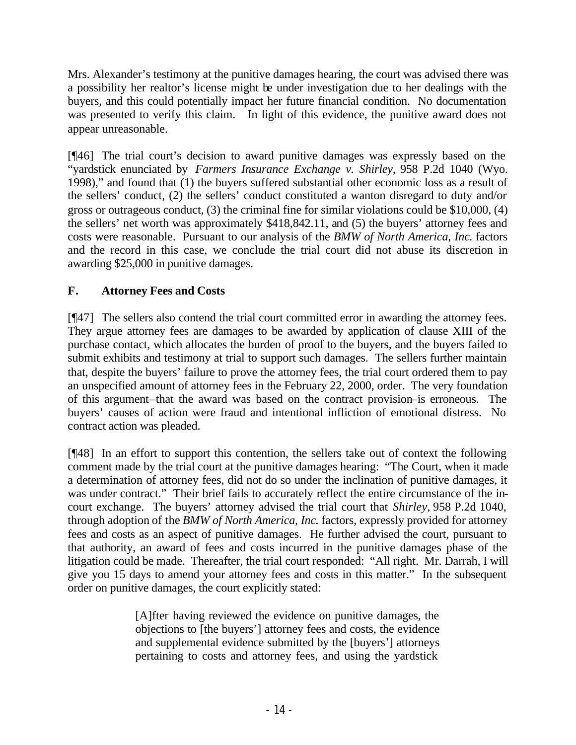Mrs. Alexander's testimony at the punitive damages hearing, the court was advised there was a possibility her realtor's license might be under investigation due to her dealings with the buyers, and this could potentially impact her future financial condition. No documentation was presented to verify this claim. In light of this evidence, the punitive award does not appear unreasonable.

[¶46] The trial court's decision to award punitive damages was expressly based on the "yardstick enunciated by *Farmers Insurance Exchange v. Shirley,* 958 P.2d 1040 (Wyo. 1998)," and found that (1) the buyers suffered substantial other economic loss as a result of the sellers' conduct, (2) the sellers' conduct constituted a wanton disregard to duty and/or gross or outrageous conduct, (3) the criminal fine for similar violations could be \$10,000, (4) the sellers' net worth was approximately \$418,842.11, and (5) the buyers' attorney fees and costs were reasonable. Pursuant to our analysis of the *BMW of North America, Inc.* factors and the record in this case, we conclude the trial court did not abuse its discretion in awarding \$25,000 in punitive damages.

# **F. Attorney Fees and Costs**

[¶47] The sellers also contend the trial court committed error in awarding the attorney fees. They argue attorney fees are damages to be awarded by application of clause XIII of the purchase contact, which allocates the burden of proof to the buyers, and the buyers failed to submit exhibits and testimony at trial to support such damages. The sellers further maintain that, despite the buyers' failure to prove the attorney fees, the trial court ordered them to pay an unspecified amount of attorney fees in the February 22, 2000, order. The very foundation of this argument–that the award was based on the contract provision–is erroneous. The buyers' causes of action were fraud and intentional infliction of emotional distress. No contract action was pleaded.

[¶48] In an effort to support this contention, the sellers take out of context the following comment made by the trial court at the punitive damages hearing: "The Court, when it made a determination of attorney fees, did not do so under the inclination of punitive damages, it was under contract." Their brief fails to accurately reflect the entire circumstance of the incourt exchange. The buyers' attorney advised the trial court that *Shirley,* 958 P.2d 1040, through adoption of the *BMW of North America, Inc.* factors, expressly provided for attorney fees and costs as an aspect of punitive damages. He further advised the court, pursuant to that authority, an award of fees and costs incurred in the punitive damages phase of the litigation could be made. Thereafter, the trial court responded: "All right. Mr. Darrah, I will give you 15 days to amend your attorney fees and costs in this matter." In the subsequent order on punitive damages, the court explicitly stated:

> [A]fter having reviewed the evidence on punitive damages, the objections to [the buyers'] attorney fees and costs, the evidence and supplemental evidence submitted by the [buyers'] attorneys pertaining to costs and attorney fees, and using the yardstick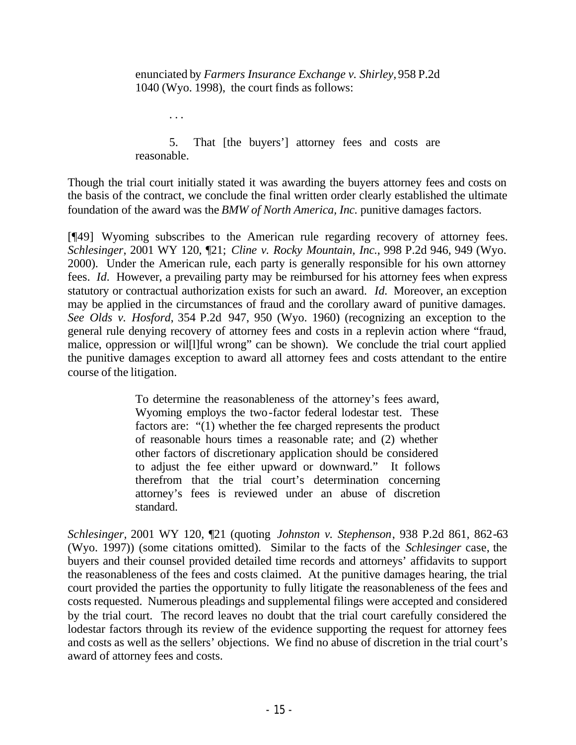enunciated by *Farmers Insurance Exchange v. Shirley,* 958 P.2d 1040 (Wyo. 1998), the court finds as follows:

. . .

5. That [the buyers'] attorney fees and costs are reasonable.

Though the trial court initially stated it was awarding the buyers attorney fees and costs on the basis of the contract, we conclude the final written order clearly established the ultimate foundation of the award was the *BMW of North America, Inc.* punitive damages factors.

[¶49] Wyoming subscribes to the American rule regarding recovery of attorney fees. *Schlesinger*, 2001 WY 120, ¶21; *Cline v. Rocky Mountain, Inc.*, 998 P.2d 946, 949 (Wyo. 2000). Under the American rule, each party is generally responsible for his own attorney fees. *Id.* However, a prevailing party may be reimbursed for his attorney fees when express statutory or contractual authorization exists for such an award. *Id.* Moreover, an exception may be applied in the circumstances of fraud and the corollary award of punitive damages. *See Olds v. Hosford*, 354 P.2d 947, 950 (Wyo. 1960) (recognizing an exception to the general rule denying recovery of attorney fees and costs in a replevin action where "fraud, malice, oppression or wil[l]ful wrong" can be shown). We conclude the trial court applied the punitive damages exception to award all attorney fees and costs attendant to the entire course of the litigation.

> To determine the reasonableness of the attorney's fees award, Wyoming employs the two-factor federal lodestar test. These factors are: "(1) whether the fee charged represents the product of reasonable hours times a reasonable rate; and (2) whether other factors of discretionary application should be considered to adjust the fee either upward or downward." It follows therefrom that the trial court's determination concerning attorney's fees is reviewed under an abuse of discretion standard.

*Schlesinger,* 2001 WY 120, ¶21 (quoting *Johnston v. Stephenson*, 938 P.2d 861, 862-63 (Wyo. 1997)) (some citations omitted). Similar to the facts of the *Schlesinger* case, the buyers and their counsel provided detailed time records and attorneys' affidavits to support the reasonableness of the fees and costs claimed. At the punitive damages hearing, the trial court provided the parties the opportunity to fully litigate the reasonableness of the fees and costs requested. Numerous pleadings and supplemental filings were accepted and considered by the trial court. The record leaves no doubt that the trial court carefully considered the lodestar factors through its review of the evidence supporting the request for attorney fees and costs as well as the sellers' objections. We find no abuse of discretion in the trial court's award of attorney fees and costs.